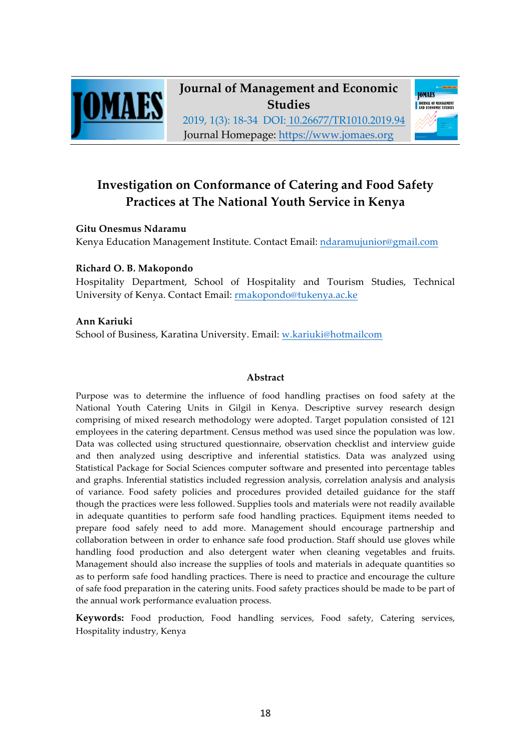

**Journal of Management and Economic Studies**

2019, 1(3): 18-34 DOI: 10.26677/TR1010.2019.94 Journal Homepage: https://www.jomaes.org



# **Investigation on Conformance of Catering and Food Safety Practices at The National Youth Service in Kenya**

# **Gitu Onesmus Ndaramu**

Kenya Education Management Institute. Contact Email: ndaramujunior@gmail.com

# **Richard O. B. Makopondo**

Hospitality Department, School of Hospitality and Tourism Studies, Technical University of Kenya. Contact Email: rmakopondo@tukenya.ac.ke

## **Ann Kariuki**

School of Business, Karatina University. Email: w.kariuki@hotmailcom

## **Abstract**

Purpose was to determine the influence of food handling practises on food safety at the National Youth Catering Units in Gilgil in Kenya. Descriptive survey research design comprising of mixed research methodology were adopted. Target population consisted of 121 employees in the catering department. Census method was used since the population was low. Data was collected using structured questionnaire, observation checklist and interview guide and then analyzed using descriptive and inferential statistics. Data was analyzed using Statistical Package for Social Sciences computer software and presented into percentage tables and graphs. Inferential statistics included regression analysis, correlation analysis and analysis of variance. Food safety policies and procedures provided detailed guidance for the staff though the practices were less followed. Supplies tools and materials were not readily available in adequate quantities to perform safe food handling practices. Equipment items needed to prepare food safely need to add more. Management should encourage partnership and collaboration between in order to enhance safe food production. Staff should use gloves while handling food production and also detergent water when cleaning vegetables and fruits. Management should also increase the supplies of tools and materials in adequate quantities so as to perform safe food handling practices. There is need to practice and encourage the culture of safe food preparation in the catering units. Food safety practices should be made to be part of the annual work performance evaluation process.

**Keywords:** Food production, Food handling services, Food safety, Catering services, Hospitality industry, Kenya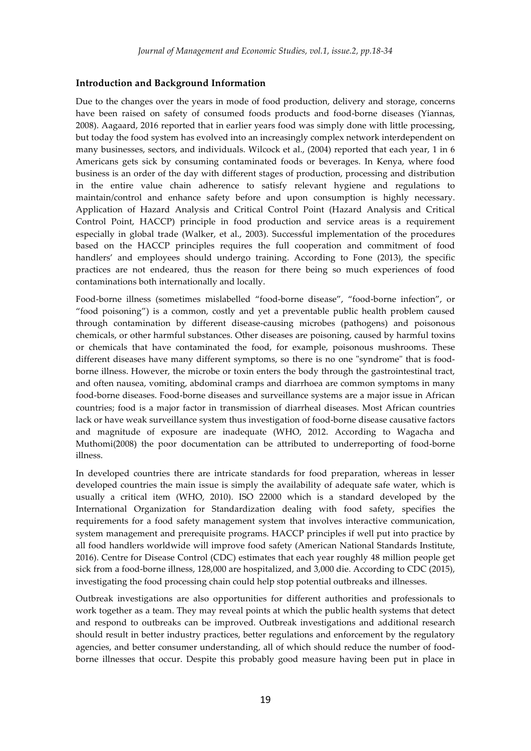#### **Introduction and Background Information**

Due to the changes over the years in mode of food production, delivery and storage, concerns have been raised on safety of consumed foods products and food-borne diseases (Yiannas, 2008). Aagaard, 2016 reported that in earlier years food was simply done with little processing, but today the food system has evolved into an increasingly complex network interdependent on many businesses, sectors, and individuals. Wilcock et al., (2004) reported that each year, 1 in 6 Americans gets sick by consuming contaminated foods or beverages. In Kenya, where food business is an order of the day with different stages of production, processing and distribution in the entire value chain adherence to satisfy relevant hygiene and regulations to maintain/control and enhance safety before and upon consumption is highly necessary. Application of Hazard Analysis and Critical Control Point (Hazard Analysis and Critical Control Point, HACCP) principle in food production and service areas is a requirement especially in global trade (Walker, et al., 2003). Successful implementation of the procedures based on the HACCP principles requires the full cooperation and commitment of food handlers' and employees should undergo training. According to Fone (2013), the specific practices are not endeared, thus the reason for there being so much experiences of food contaminations both internationally and locally.

Food-borne illness (sometimes mislabelled "food-borne disease", "food-borne infection", or "food poisoning") is a common, costly and yet a preventable public health problem caused through contamination by different disease-causing microbes (pathogens) and poisonous chemicals, or other harmful substances. Other diseases are poisoning, caused by harmful toxins or chemicals that have contaminated the food, for example, poisonous mushrooms. These different diseases have many different symptoms, so there is no one "syndrome" that is foodborne illness. However, the microbe or toxin enters the body through the gastrointestinal tract, and often nausea, vomiting, abdominal cramps and diarrhoea are common symptoms in many food-borne diseases. Food-borne diseases and surveillance systems are a major issue in African countries; food is a major factor in transmission of diarrheal diseases. Most African countries lack or have weak surveillance system thus investigation of food-borne disease causative factors and magnitude of exposure are inadequate (WHO, 2012. According to Wagacha and Muthomi(2008) the poor documentation can be attributed to underreporting of food-borne illness.

In developed countries there are intricate standards for food preparation, whereas in lesser developed countries the main issue is simply the availability of adequate safe water, which is usually a critical item (WHO, 2010). ISO 22000 which is a standard developed by the International Organization for Standardization dealing with food safety, specifies the requirements for a food safety management system that involves interactive communication, system management and prerequisite programs. HACCP principles if well put into practice by all food handlers worldwide will improve food safety (American National Standards Institute, 2016). Centre for Disease Control (CDC) estimates that each year roughly 48 million people get sick from a food-borne illness, 128,000 are hospitalized, and 3,000 die. According to CDC (2015), investigating the food processing chain could help stop potential outbreaks and illnesses.

Outbreak investigations are also opportunities for different authorities and professionals to work together as a team. They may reveal points at which the public health systems that detect and respond to outbreaks can be improved. Outbreak investigations and additional research should result in better industry practices, better regulations and enforcement by the regulatory agencies, and better consumer understanding, all of which should reduce the number of foodborne illnesses that occur. Despite this probably good measure having been put in place in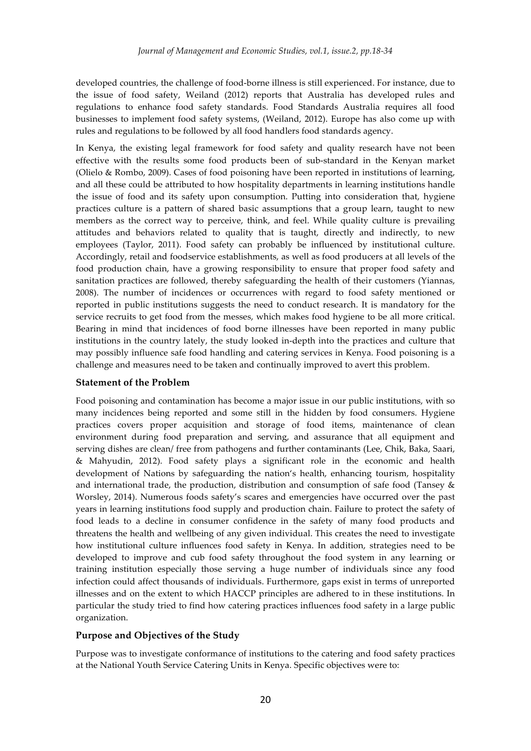developed countries, the challenge of food-borne illness is still experienced. For instance, due to the issue of food safety, Weiland (2012) reports that Australia has developed rules and regulations to enhance food safety standards. Food Standards Australia requires all food businesses to implement food safety systems, (Weiland, 2012). Europe has also come up with rules and regulations to be followed by all food handlers food standards agency.

In Kenya, the existing legal framework for food safety and quality research have not been effective with the results some food products been of sub-standard in the Kenyan market (Olielo & Rombo, 2009). Cases of food poisoning have been reported in institutions of learning, and all these could be attributed to how hospitality departments in learning institutions handle the issue of food and its safety upon consumption. Putting into consideration that, hygiene practices culture is a pattern of shared basic assumptions that a group learn, taught to new members as the correct way to perceive, think, and feel. While quality culture is prevailing attitudes and behaviors related to quality that is taught, directly and indirectly, to new employees (Taylor, 2011). Food safety can probably be influenced by institutional culture. Accordingly, retail and foodservice establishments, as well as food producers at all levels of the food production chain, have a growing responsibility to ensure that proper food safety and sanitation practices are followed, thereby safeguarding the health of their customers (Yiannas, 2008). The number of incidences or occurrences with regard to food safety mentioned or reported in public institutions suggests the need to conduct research. It is mandatory for the service recruits to get food from the messes, which makes food hygiene to be all more critical. Bearing in mind that incidences of food borne illnesses have been reported in many public institutions in the country lately, the study looked in-depth into the practices and culture that may possibly influence safe food handling and catering services in Kenya. Food poisoning is a challenge and measures need to be taken and continually improved to avert this problem.

#### **Statement of the Problem**

Food poisoning and contamination has become a major issue in our public institutions, with so many incidences being reported and some still in the hidden by food consumers. Hygiene practices covers proper acquisition and storage of food items, maintenance of clean environment during food preparation and serving, and assurance that all equipment and serving dishes are clean/ free from pathogens and further contaminants (Lee, Chik, Baka, Saari, & Mahyudin, 2012). Food safety plays a significant role in the economic and health development of Nations by safeguarding the nation's health, enhancing tourism, hospitality and international trade, the production, distribution and consumption of safe food (Tansey & Worsley, 2014). Numerous foods safety's scares and emergencies have occurred over the past years in learning institutions food supply and production chain. Failure to protect the safety of food leads to a decline in consumer confidence in the safety of many food products and threatens the health and wellbeing of any given individual. This creates the need to investigate how institutional culture influences food safety in Kenya. In addition, strategies need to be developed to improve and cub food safety throughout the food system in any learning or training institution especially those serving a huge number of individuals since any food infection could affect thousands of individuals. Furthermore, gaps exist in terms of unreported illnesses and on the extent to which HACCP principles are adhered to in these institutions. In particular the study tried to find how catering practices influences food safety in a large public organization.

#### **Purpose and Objectives of the Study**

Purpose was to investigate conformance of institutions to the catering and food safety practices at the National Youth Service Catering Units in Kenya. Specific objectives were to: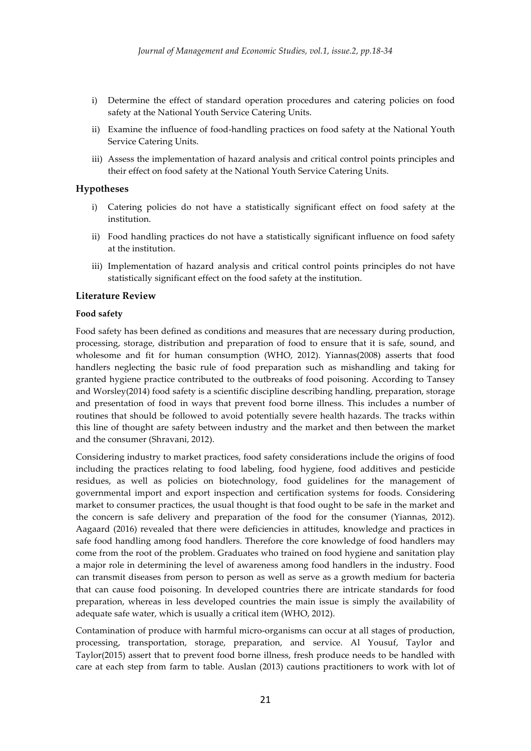- i) Determine the effect of standard operation procedures and catering policies on food safety at the National Youth Service Catering Units.
- ii) Examine the influence of food-handling practices on food safety at the National Youth Service Catering Units.
- iii) Assess the implementation of hazard analysis and critical control points principles and their effect on food safety at the National Youth Service Catering Units.

#### **Hypotheses**

- i) Catering policies do not have a statistically significant effect on food safety at the institution.
- ii) Food handling practices do not have a statistically significant influence on food safety at the institution.
- iii) Implementation of hazard analysis and critical control points principles do not have statistically significant effect on the food safety at the institution.

#### **Literature Review**

#### **Food safety**

Food safety has been defined as conditions and measures that are necessary during production, processing, storage, distribution and preparation of food to ensure that it is safe, sound, and wholesome and fit for human consumption (WHO, 2012). Yiannas(2008) asserts that food handlers neglecting the basic rule of food preparation such as mishandling and taking for granted hygiene practice contributed to the outbreaks of food poisoning. According to Tansey and Worsley(2014) food safety is a scientific discipline describing handling, preparation, storage and presentation of food in ways that prevent food borne illness. This includes a number of routines that should be followed to avoid potentially severe health hazards. The tracks within this line of thought are safety between industry and the market and then between the market and the consumer (Shravani, 2012).

Considering industry to market practices, food safety considerations include the origins of food including the practices relating to food labeling, food hygiene, food additives and pesticide residues, as well as policies on biotechnology, food guidelines for the management of governmental import and export inspection and certification systems for foods. Considering market to consumer practices, the usual thought is that food ought to be safe in the market and the concern is safe delivery and preparation of the food for the consumer (Yiannas, 2012). Aagaard (2016) revealed that there were deficiencies in attitudes, knowledge and practices in safe food handling among food handlers. Therefore the core knowledge of food handlers may come from the root of the problem. Graduates who trained on food hygiene and sanitation play a major role in determining the level of awareness among food handlers in the industry. Food can transmit diseases from person to person as well as serve as a growth medium for bacteria that can cause food poisoning. In developed countries there are intricate standards for food preparation, whereas in less developed countries the main issue is simply the availability of adequate safe water, which is usually a critical item (WHO, 2012).

Contamination of produce with harmful micro-organisms can occur at all stages of production, processing, transportation, storage, preparation, and service. Al Yousuf, Taylor and Taylor(2015) assert that to prevent food borne illness, fresh produce needs to be handled with care at each step from farm to table. Auslan (2013) cautions practitioners to work with lot of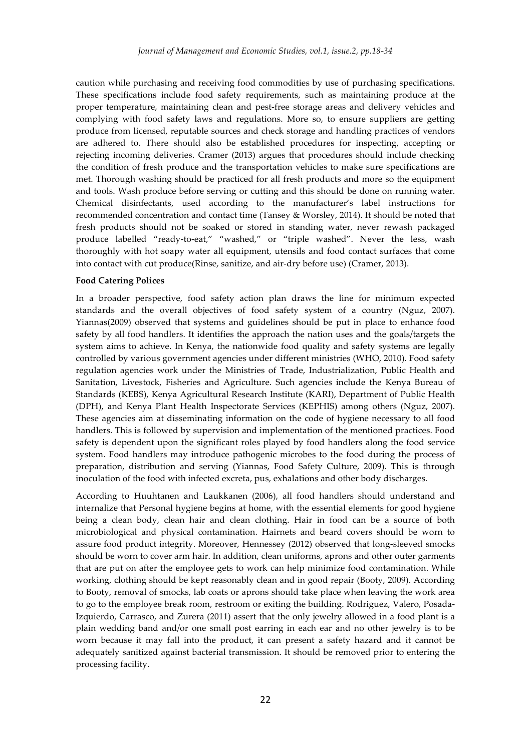caution while purchasing and receiving food commodities by use of purchasing specifications. These specifications include food safety requirements, such as maintaining produce at the proper temperature, maintaining clean and pest-free storage areas and delivery vehicles and complying with food safety laws and regulations. More so, to ensure suppliers are getting produce from licensed, reputable sources and check storage and handling practices of vendors are adhered to. There should also be established procedures for inspecting, accepting or rejecting incoming deliveries. Cramer (2013) argues that procedures should include checking the condition of fresh produce and the transportation vehicles to make sure specifications are met. Thorough washing should be practiced for all fresh products and more so the equipment and tools. Wash produce before serving or cutting and this should be done on running water. Chemical disinfectants, used according to the manufacturer's label instructions for recommended concentration and contact time (Tansey & Worsley, 2014). It should be noted that fresh products should not be soaked or stored in standing water, never rewash packaged produce labelled "ready-to-eat," "washed," or "triple washed". Never the less, wash thoroughly with hot soapy water all equipment, utensils and food contact surfaces that come into contact with cut produce(Rinse, sanitize, and air-dry before use) (Cramer, 2013).

#### **Food Catering Polices**

In a broader perspective, food safety action plan draws the line for minimum expected standards and the overall objectives of food safety system of a country (Nguz, 2007). Yiannas(2009) observed that systems and guidelines should be put in place to enhance food safety by all food handlers. It identifies the approach the nation uses and the goals/targets the system aims to achieve. In Kenya, the nationwide food quality and safety systems are legally controlled by various government agencies under different ministries (WHO, 2010). Food safety regulation agencies work under the Ministries of Trade, Industrialization, Public Health and Sanitation, Livestock, Fisheries and Agriculture. Such agencies include the Kenya Bureau of Standards (KEBS), Kenya Agricultural Research Institute (KARI), Department of Public Health (DPH), and Kenya Plant Health Inspectorate Services (KEPHIS) among others (Nguz, 2007). These agencies aim at disseminating information on the code of hygiene necessary to all food handlers. This is followed by supervision and implementation of the mentioned practices. Food safety is dependent upon the significant roles played by food handlers along the food service system. Food handlers may introduce pathogenic microbes to the food during the process of preparation, distribution and serving (Yiannas, Food Safety Culture, 2009). This is through inoculation of the food with infected excreta, pus, exhalations and other body discharges.

According to Huuhtanen and Laukkanen (2006), all food handlers should understand and internalize that Personal hygiene begins at home, with the essential elements for good hygiene being a clean body, clean hair and clean clothing. Hair in food can be a source of both microbiological and physical contamination. Hairnets and beard covers should be worn to assure food product integrity. Moreover, Hennessey (2012) observed that long-sleeved smocks should be worn to cover arm hair. In addition, clean uniforms, aprons and other outer garments that are put on after the employee gets to work can help minimize food contamination. While working, clothing should be kept reasonably clean and in good repair (Booty, 2009). According to Booty, removal of smocks, lab coats or aprons should take place when leaving the work area to go to the employee break room, restroom or exiting the building. Rodriguez, Valero, Posada-Izquierdo, Carrasco, and Zurera (2011) assert that the only jewelry allowed in a food plant is a plain wedding band and/or one small post earring in each ear and no other jewelry is to be worn because it may fall into the product, it can present a safety hazard and it cannot be adequately sanitized against bacterial transmission. It should be removed prior to entering the processing facility.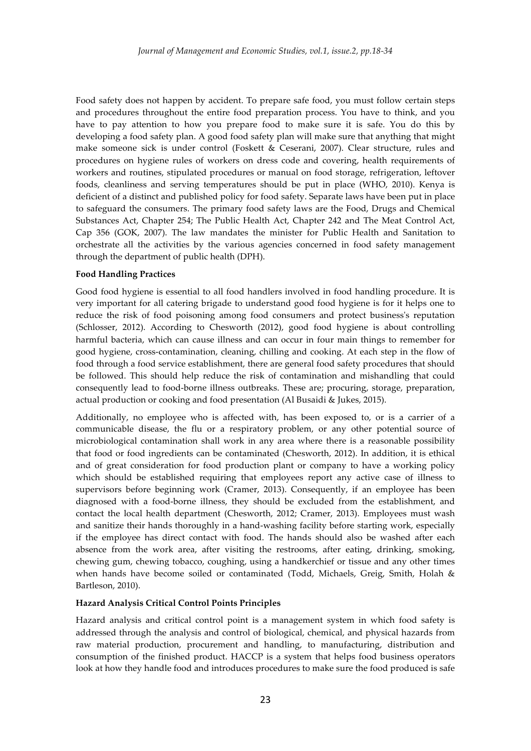Food safety does not happen by accident. To prepare safe food, you must follow certain steps and procedures throughout the entire food preparation process. You have to think, and you have to pay attention to how you prepare food to make sure it is safe. You do this by developing a food safety plan. A good food safety plan will make sure that anything that might make someone sick is under control (Foskett & Ceserani, 2007). Clear structure, rules and procedures on hygiene rules of workers on dress code and covering, health requirements of workers and routines, stipulated procedures or manual on food storage, refrigeration, leftover foods, cleanliness and serving temperatures should be put in place (WHO, 2010). Kenya is deficient of a distinct and published policy for food safety. Separate laws have been put in place to safeguard the consumers. The primary food safety laws are the Food, Drugs and Chemical Substances Act, Chapter 254; The Public Health Act, Chapter 242 and The Meat Control Act, Cap 356 (GOK, 2007). The law mandates the minister for Public Health and Sanitation to orchestrate all the activities by the various agencies concerned in food safety management through the department of public health (DPH).

#### **Food Handling Practices**

Good food hygiene is essential to all food handlers involved in food handling procedure. It is very important for all catering brigade to understand good food hygiene is for it helps one to reduce the risk of food poisoning among food consumers and protect business's reputation (Schlosser, 2012). According to Chesworth (2012), good food hygiene is about controlling harmful bacteria, which can cause illness and can occur in four main things to remember for good hygiene, cross-contamination, cleaning, chilling and cooking. At each step in the flow of food through a food service establishment, there are general food safety procedures that should be followed. This should help reduce the risk of contamination and mishandling that could consequently lead to food-borne illness outbreaks. These are; procuring, storage, preparation, actual production or cooking and food presentation (Al Busaidi & Jukes, 2015).

Additionally, no employee who is affected with, has been exposed to, or is a carrier of a communicable disease, the flu or a respiratory problem, or any other potential source of microbiological contamination shall work in any area where there is a reasonable possibility that food or food ingredients can be contaminated (Chesworth, 2012). In addition, it is ethical and of great consideration for food production plant or company to have a working policy which should be established requiring that employees report any active case of illness to supervisors before beginning work (Cramer, 2013). Consequently, if an employee has been diagnosed with a food-borne illness, they should be excluded from the establishment, and contact the local health department (Chesworth, 2012; Cramer, 2013). Employees must wash and sanitize their hands thoroughly in a hand-washing facility before starting work, especially if the employee has direct contact with food. The hands should also be washed after each absence from the work area, after visiting the restrooms, after eating, drinking, smoking, chewing gum, chewing tobacco, coughing, using a handkerchief or tissue and any other times when hands have become soiled or contaminated (Todd, Michaels, Greig, Smith, Holah & Bartleson, 2010).

#### **Hazard Analysis Critical Control Points Principles**

Hazard analysis and critical control point is a management system in which food safety is addressed through the analysis and control of biological, chemical, and physical hazards from raw material production, procurement and handling, to manufacturing, distribution and consumption of the finished product. HACCP is a system that helps food business operators look at how they handle food and introduces procedures to make sure the food produced is safe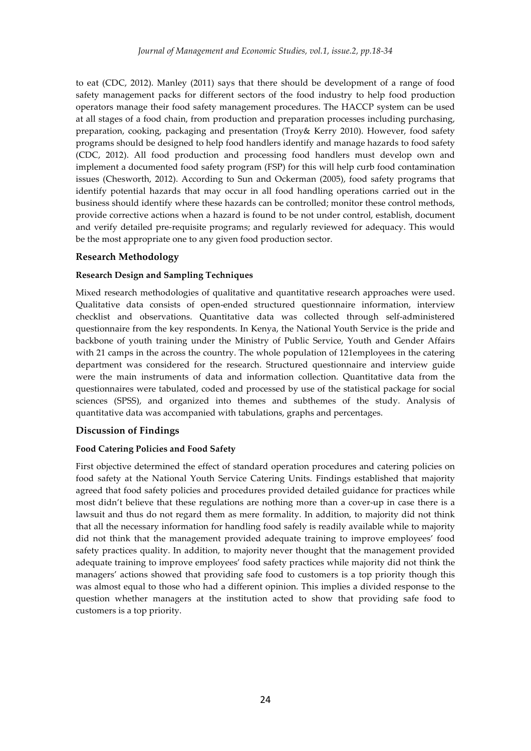to eat (CDC, 2012). Manley (2011) says that there should be development of a range of food safety management packs for different sectors of the food industry to help food production operators manage their food safety management procedures. The HACCP system can be used at all stages of a food chain, from production and preparation processes including purchasing, preparation, cooking, packaging and presentation (Troy& Kerry 2010). However, food safety programs should be designed to help food handlers identify and manage hazards to food safety (CDC, 2012). All food production and processing food handlers must develop own and implement a documented food safety program (FSP) for this will help curb food contamination issues (Chesworth, 2012). According to Sun and Ockerman (2005), food safety programs that identify potential hazards that may occur in all food handling operations carried out in the business should identify where these hazards can be controlled; monitor these control methods, provide corrective actions when a hazard is found to be not under control, establish, document and verify detailed pre-requisite programs; and regularly reviewed for adequacy. This would be the most appropriate one to any given food production sector.

#### **Research Methodology**

#### **Research Design and Sampling Techniques**

Mixed research methodologies of qualitative and quantitative research approaches were used. Qualitative data consists of open-ended structured questionnaire information, interview checklist and observations. Quantitative data was collected through self-administered questionnaire from the key respondents. In Kenya, the National Youth Service is the pride and backbone of youth training under the Ministry of Public Service, Youth and Gender Affairs with 21 camps in the across the country. The whole population of 121employees in the catering department was considered for the research. Structured questionnaire and interview guide were the main instruments of data and information collection. Quantitative data from the questionnaires were tabulated, coded and processed by use of the statistical package for social sciences (SPSS), and organized into themes and subthemes of the study. Analysis of quantitative data was accompanied with tabulations, graphs and percentages.

## **Discussion of Findings**

#### **Food Catering Policies and Food Safety**

First objective determined the effect of standard operation procedures and catering policies on food safety at the National Youth Service Catering Units. Findings established that majority agreed that food safety policies and procedures provided detailed guidance for practices while most didn't believe that these regulations are nothing more than a cover-up in case there is a lawsuit and thus do not regard them as mere formality. In addition, to majority did not think that all the necessary information for handling food safely is readily available while to majority did not think that the management provided adequate training to improve employees' food safety practices quality. In addition, to majority never thought that the management provided adequate training to improve employees' food safety practices while majority did not think the managers' actions showed that providing safe food to customers is a top priority though this was almost equal to those who had a different opinion. This implies a divided response to the question whether managers at the institution acted to show that providing safe food to customers is a top priority.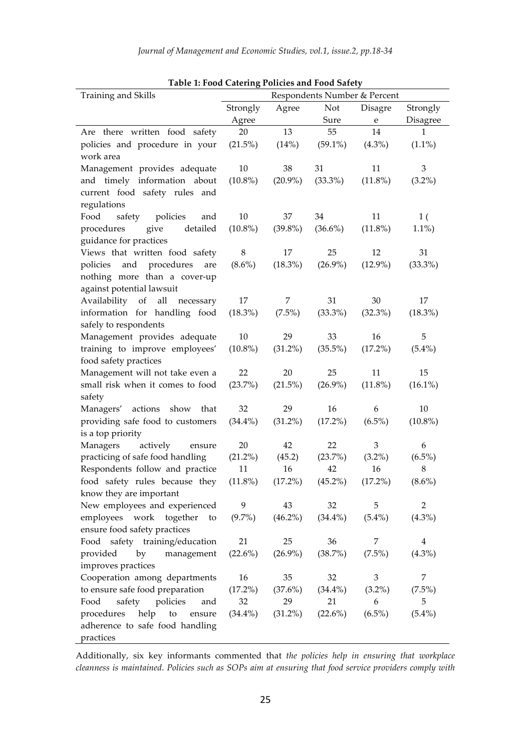| Training and Skills                        | Table 1: Food Catering Policies and Food Safety<br>Respondents Number & Percent |                         |            |                |                 |  |
|--------------------------------------------|---------------------------------------------------------------------------------|-------------------------|------------|----------------|-----------------|--|
|                                            | Strongly                                                                        | Not<br>Agree<br>Disagre |            |                | Strongly        |  |
|                                            | Agree                                                                           |                         | Sure       | ${\bf e}$      | <b>Disagree</b> |  |
| Are there written food safety              | 20                                                                              | 13                      | 55         | 14             | 1               |  |
| policies and procedure in your             | $(21.5\%)$                                                                      | (14%)                   | $(59.1\%)$ | $(4.3\%)$      | $(1.1\%)$       |  |
| work area                                  |                                                                                 |                         |            |                |                 |  |
| Management provides adequate               | 10                                                                              | 38                      | 31         | 11             | 3               |  |
| and timely information about               | $(10.8\%)$                                                                      | $(20.9\%)$              | $(33.3\%)$ | $(11.8\%)$     | $(3.2\%)$       |  |
| current food safety rules and              |                                                                                 |                         |            |                |                 |  |
| regulations                                |                                                                                 |                         |            |                |                 |  |
| Food<br>safety policies<br>and             | 10                                                                              | 37                      | 34         | 11             | 1 <sup>2</sup>  |  |
| detailed<br>give<br>procedures             | $(10.8\%)$                                                                      | $(39.8\%)$              | $(36.6\%)$ | $(11.8\%)$     | $1.1\%)$        |  |
| guidance for practices                     |                                                                                 |                         |            |                |                 |  |
| Views that written food safety             | 8                                                                               | 17                      | 25         | 12             | 31              |  |
| policies and procedures<br>are             | $(8.6\%)$                                                                       | $(18.3\%)$              | $(26.9\%)$ | $(12.9\%)$     | $(33.3\%)$      |  |
| nothing more than a cover-up               |                                                                                 |                         |            |                |                 |  |
| against potential lawsuit                  |                                                                                 |                         |            |                |                 |  |
| Availability of<br>all<br>necessary        | 17                                                                              | 7                       | 31         | 30             | 17              |  |
| information for handling food              | $(18.3\%)$                                                                      | $(7.5\%)$               | $(33.3\%)$ | $(32.3\%)$     | (18.3%)         |  |
| safely to respondents                      |                                                                                 |                         |            |                |                 |  |
| Management provides adequate               | $10\,$                                                                          | 29                      | 33         | 16             | 5               |  |
| training to improve employees'             | $(10.8\%)$                                                                      | $(31.2\%)$              | $(35.5\%)$ | $(17.2\%)$     | $(5.4\%)$       |  |
| food safety practices                      |                                                                                 |                         |            |                |                 |  |
| Management will not take even a            | 22                                                                              | 20                      | 25         | 11             | 15              |  |
| small risk when it comes to food           | (23.7%)                                                                         | $(21.5\%)$              | $(26.9\%)$ | $(11.8\%)$     | $(16.1\%)$      |  |
| safety                                     |                                                                                 |                         |            |                |                 |  |
| Managers' actions show that                | 32                                                                              | 29                      | 16         | 6              | 10              |  |
| providing safe food to customers           | $(34.4\%)$                                                                      | $(31.2\%)$              | $(17.2\%)$ | $(6.5\%)$      | $(10.8\%)$      |  |
| is a top priority                          |                                                                                 |                         |            |                |                 |  |
| Managers<br>actively<br>ensure             | 20                                                                              | 42                      | 22         | $\,3$          | 6               |  |
| practicing of safe food handling           | $(21.2\%)$                                                                      | (45.2)                  | (23.7%)    | $(3.2\%)$      | $(6.5\%)$       |  |
| Respondents follow and practice            | 11                                                                              | 16                      | 42         | 16             | 8               |  |
| food safety rules because they (11.8%)     |                                                                                 | $(17.2\%)$              | $(45.2\%)$ | $(17.2\%)$     | $(8.6\%)$       |  |
| know they are important                    |                                                                                 |                         |            |                |                 |  |
| New employees and experienced              | 9                                                                               | 43                      | 32         | 5              | $\overline{2}$  |  |
| employees work together<br>to              | $(9.7\%)$                                                                       | $(46.2\%)$              | $(34.4\%)$ | $(5.4\%)$      | $(4.3\%)$       |  |
| ensure food safety practices               |                                                                                 |                         |            |                |                 |  |
| Food safety training/education             | 21                                                                              | 25                      | 36         | 7              | $\overline{4}$  |  |
| provided<br>by<br>management               | $(22.6\%)$                                                                      | $(26.9\%)$              | (38.7%)    | $(7.5\%)$      | $(4.3\%)$       |  |
| improves practices                         |                                                                                 |                         |            |                |                 |  |
| Cooperation among departments              | 16                                                                              | 35                      | 32         | $\mathfrak{Z}$ | 7               |  |
| to ensure safe food preparation            | $(17.2\%)$                                                                      | (37.6%)                 | $(34.4\%)$ | $(3.2\%)$      | $(7.5\%)$       |  |
| safety policies<br>Food<br>and             | 32                                                                              | 29                      | 21         | 6              | 5               |  |
| help<br>procedures<br>${\rm to}$<br>ensure | $(34.4\%)$                                                                      | $(31.2\%)$              | (22.6%)    | $(6.5\%)$      | $(5.4\%)$       |  |
| adherence to safe food handling            |                                                                                 |                         |            |                |                 |  |
| practices                                  |                                                                                 |                         |            |                |                 |  |

**Table 1: Food Catering Policies and Food Safety**

Additionally, six key informants commented that *the policies help in ensuring that workplace cleanness is maintained*. *Policies such as SOPs aim at ensuring that food service providers comply with*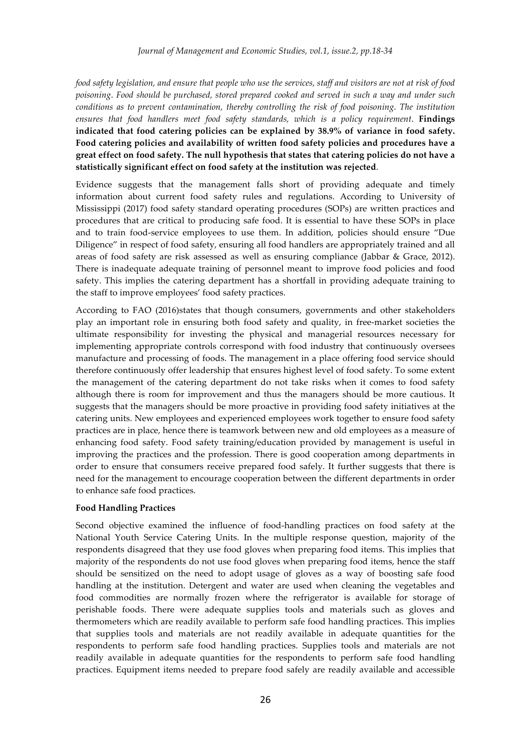*food safety legislation, and ensure that people who use the services, staff and visitors are not at risk of food poisoning*. *Food should be purchased, stored prepared cooked and served in such a way and under such conditions as to prevent contamination, thereby controlling the risk of food poisoning*. *The institution ensures that food handlers meet food safety standards, which is a policy requirement*. **Findings indicated that food catering policies can be explained by 38.9% of variance in food safety. Food catering policies and availability of written food safety policies and procedures have a great effect on food safety. The null hypothesis that states that catering policies do not have a statistically significant effect on food safety at the institution was rejected**.

Evidence suggests that the management falls short of providing adequate and timely information about current food safety rules and regulations. According to University of Mississippi (2017) food safety standard operating procedures (SOPs) are written practices and procedures that are critical to producing safe food. It is essential to have these SOPs in place and to train food-service employees to use them. In addition, policies should ensure "Due Diligence" in respect of food safety, ensuring all food handlers are appropriately trained and all areas of food safety are risk assessed as well as ensuring compliance (Jabbar & Grace, 2012). There is inadequate adequate training of personnel meant to improve food policies and food safety. This implies the catering department has a shortfall in providing adequate training to the staff to improve employees' food safety practices.

According to FAO (2016)states that though consumers, governments and other stakeholders play an important role in ensuring both food safety and quality, in free-market societies the ultimate responsibility for investing the physical and managerial resources necessary for implementing appropriate controls correspond with food industry that continuously oversees manufacture and processing of foods. The management in a place offering food service should therefore continuously offer leadership that ensures highest level of food safety. To some extent the management of the catering department do not take risks when it comes to food safety although there is room for improvement and thus the managers should be more cautious. It suggests that the managers should be more proactive in providing food safety initiatives at the catering units. New employees and experienced employees work together to ensure food safety practices are in place, hence there is teamwork between new and old employees as a measure of enhancing food safety. Food safety training/education provided by management is useful in improving the practices and the profession. There is good cooperation among departments in order to ensure that consumers receive prepared food safely. It further suggests that there is need for the management to encourage cooperation between the different departments in order to enhance safe food practices.

#### **Food Handling Practices**

Second objective examined the influence of food-handling practices on food safety at the National Youth Service Catering Units. In the multiple response question, majority of the respondents disagreed that they use food gloves when preparing food items. This implies that majority of the respondents do not use food gloves when preparing food items, hence the staff should be sensitized on the need to adopt usage of gloves as a way of boosting safe food handling at the institution. Detergent and water are used when cleaning the vegetables and food commodities are normally frozen where the refrigerator is available for storage of perishable foods. There were adequate supplies tools and materials such as gloves and thermometers which are readily available to perform safe food handling practices. This implies that supplies tools and materials are not readily available in adequate quantities for the respondents to perform safe food handling practices. Supplies tools and materials are not readily available in adequate quantities for the respondents to perform safe food handling practices. Equipment items needed to prepare food safely are readily available and accessible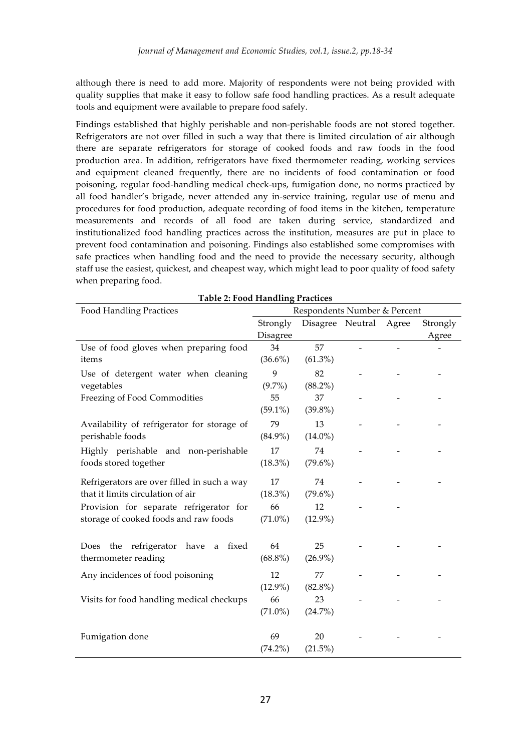although there is need to add more. Majority of respondents were not being provided with quality supplies that make it easy to follow safe food handling practices. As a result adequate tools and equipment were available to prepare food safely.

Findings established that highly perishable and non-perishable foods are not stored together. Refrigerators are not over filled in such a way that there is limited circulation of air although there are separate refrigerators for storage of cooked foods and raw foods in the food production area. In addition, refrigerators have fixed thermometer reading, working services and equipment cleaned frequently, there are no incidents of food contamination or food poisoning, regular food-handling medical check-ups, fumigation done, no norms practiced by all food handler's brigade, never attended any in-service training, regular use of menu and procedures for food production, adequate recording of food items in the kitchen, temperature measurements and records of all food are taken during service, standardized and institutionalized food handling practices across the institution, measures are put in place to prevent food contamination and poisoning. Findings also established some compromises with safe practices when handling food and the need to provide the necessary security, although staff use the easiest, quickest, and cheapest way, which might lead to poor quality of food safety when preparing food.

| <b>Food Handling Practices</b>              | Respondents Number & Percent |                  |  |       |          |
|---------------------------------------------|------------------------------|------------------|--|-------|----------|
|                                             | Strongly                     | Disagree Neutral |  | Agree | Strongly |
|                                             | <b>Disagree</b>              |                  |  |       | Agree    |
| Use of food gloves when preparing food      | 34                           | 57               |  |       |          |
| items                                       | $(36.6\%)$                   | $(61.3\%)$       |  |       |          |
| Use of detergent water when cleaning        | 9                            | 82               |  |       |          |
| vegetables                                  | $(9.7\%)$                    | $(88.2\%)$       |  |       |          |
| Freezing of Food Commodities                | 55                           | 37               |  |       |          |
|                                             | $(59.1\%)$                   | $(39.8\%)$       |  |       |          |
| Availability of refrigerator for storage of | 79                           | 13               |  |       |          |
| perishable foods                            | $(84.9\%)$                   | $(14.0\%)$       |  |       |          |
| Highly perishable and non-perishable        | 17                           | 74               |  |       |          |
| foods stored together                       | $(18.3\%)$                   | $(79.6\%)$       |  |       |          |
| Refrigerators are over filled in such a way | 17                           | 74               |  |       |          |
| that it limits circulation of air           | $(18.3\%)$                   | $(79.6\%)$       |  |       |          |
| Provision for separate refrigerator for     | 66                           | 12               |  |       |          |
| storage of cooked foods and raw foods       | $(71.0\%)$                   | $(12.9\%)$       |  |       |          |
| Does the refrigerator have<br>fixed<br>a    | 64                           | 25               |  |       |          |
| thermometer reading                         | $(68.8\%)$                   | $(26.9\%)$       |  |       |          |
| Any incidences of food poisoning            | 12                           | 77               |  |       |          |
|                                             | $(12.9\%)$                   | $(82.8\%)$       |  |       |          |
| Visits for food handling medical checkups   | 66                           | 23               |  |       |          |
|                                             | $(71.0\%)$                   | (24.7%)          |  |       |          |
| Fumigation done                             | 69                           | 20               |  |       |          |
|                                             | $(74.2\%)$                   | $(21.5\%)$       |  |       |          |

**Table 2: Food Handling Practices**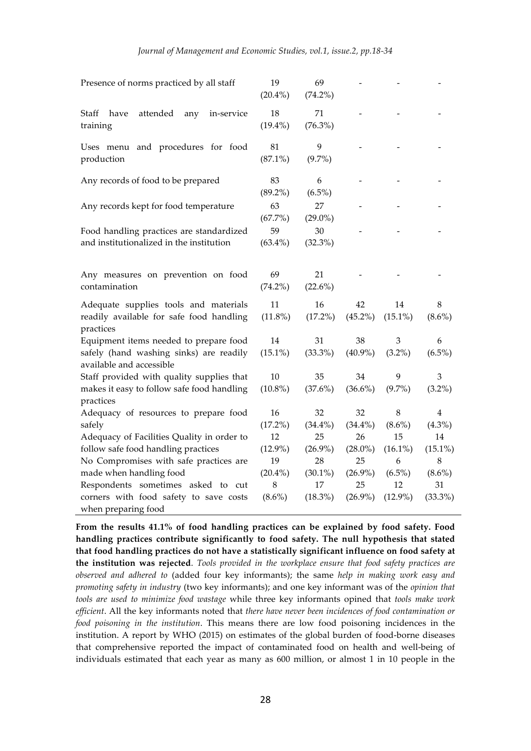| Presence of norms practiced by all staff                                                       | 19<br>$(20.4\%)$ | 69<br>$(74.2\%)$ |                  |                  |                |
|------------------------------------------------------------------------------------------------|------------------|------------------|------------------|------------------|----------------|
| Staff<br>have<br>attended<br>in-service<br>any<br>training                                     | 18<br>$(19.4\%)$ | 71<br>$(76.3\%)$ |                  |                  |                |
| Uses menu and procedures for food<br>production                                                | 81<br>$(87.1\%)$ | 9<br>$(9.7\%)$   |                  |                  |                |
| Any records of food to be prepared                                                             | 83<br>$(89.2\%)$ | 6<br>$(6.5\%)$   |                  |                  |                |
| Any records kept for food temperature                                                          | 63<br>$(67.7\%)$ | 27<br>$(29.0\%)$ |                  |                  |                |
| Food handling practices are standardized<br>and institutionalized in the institution           | 59<br>$(63.4\%)$ | 30<br>$(32.3\%)$ |                  |                  |                |
| Any measures on prevention on food<br>contamination                                            | 69<br>$(74.2\%)$ | 21<br>(22.6%)    |                  |                  |                |
| Adequate supplies tools and materials<br>readily available for safe food handling<br>practices | 11<br>$(11.8\%)$ | 16<br>$(17.2\%)$ | 42<br>$(45.2\%)$ | 14<br>$(15.1\%)$ | 8<br>$(8.6\%)$ |
| Equipment items needed to prepare food                                                         | 14               | 31               | 38               | 3                | 6              |
| safely (hand washing sinks) are readily<br>available and accessible                            | $(15.1\%)$       | $(33.3\%)$       | $(40.9\%)$       | $(3.2\%)$        | $(6.5\%)$      |
| Staff provided with quality supplies that                                                      | 10               | 35               | 34               | 9                | 3              |
| makes it easy to follow safe food handling<br>practices                                        | $(10.8\%)$       | (37.6%)          | $(36.6\%)$       | $(9.7\%)$        | $(3.2\%)$      |
| Adequacy of resources to prepare food                                                          | 16               | 32               | 32               | 8                | 4              |
| safely                                                                                         | $(17.2\%)$       | $(34.4\%)$       | $(34.4\%)$       | $(8.6\%)$        | $(4.3\%)$      |
| Adequacy of Facilities Quality in order to                                                     | 12               | 25               | 26               | 15               | 14             |
| follow safe food handling practices                                                            | $(12.9\%)$       | $(26.9\%)$       | $(28.0\%)$       | $(16.1\%)$       | $(15.1\%)$     |
| No Compromises with safe practices are                                                         | 19               | 28               | 25               | 6                | $\,8\,$        |
| made when handling food                                                                        | $(20.4\%)$       | $(30.1\%)$       | $(26.9\%)$       | $(6.5\%)$        | $(8.6\%)$      |
| Respondents sometimes asked to cut                                                             | 8                | 17               | 25               | 12               | 31             |
| corners with food safety to save costs<br>when preparing food                                  | $(8.6\%)$        | $(18.3\%)$       | $(26.9\%)$       | $(12.9\%)$       | $(33.3\%)$     |

**From the results 41.1% of food handling practices can be explained by food safety. Food handling practices contribute significantly to food safety. The null hypothesis that stated that food handling practices do not have a statistically significant influence on food safety at the institution was rejected**. *Tools provided in the workplace ensure that food safety practices are observed and adhered to* (added four key informants); the same *help in making work easy and promoting safety in industry* (two key informants); and one key informant was of the *opinion that tools are used to minimize food wastage* while three key informants opined that *tools make work efficient*. All the key informants noted that *there have never been incidences of food contamination or food poisoning in the institution*. This means there are low food poisoning incidences in the institution. A report by WHO (2015) on estimates of the global burden of food-borne diseases that comprehensive reported the impact of contaminated food on health and well-being of individuals estimated that each year as many as 600 million, or almost 1 in 10 people in the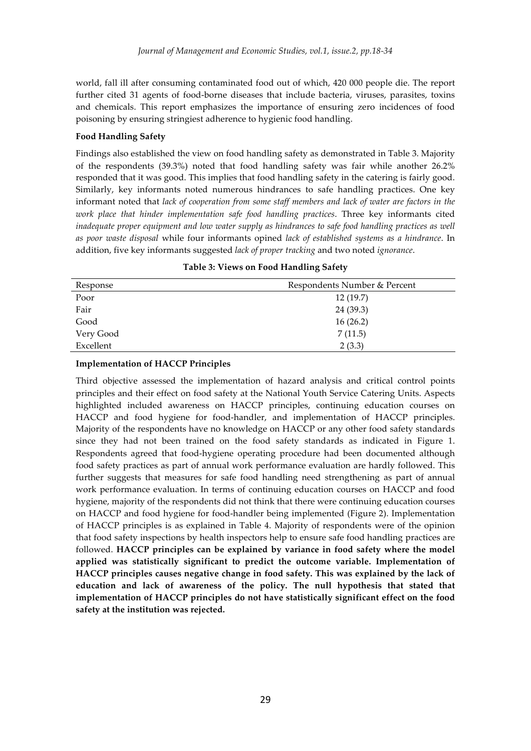world, fall ill after consuming contaminated food out of which, 420 000 people die. The report further cited 31 agents of food-borne diseases that include bacteria, viruses, parasites, toxins and chemicals. This report emphasizes the importance of ensuring zero incidences of food poisoning by ensuring stringiest adherence to hygienic food handling.

#### **Food Handling Safety**

Findings also established the view on food handling safety as demonstrated in Table 3. Majority of the respondents (39.3%) noted that food handling safety was fair while another 26.2% responded that it was good. This implies that food handling safety in the catering is fairly good. Similarly, key informants noted numerous hindrances to safe handling practices. One key informant noted that *lack of cooperation from some staff members and lack of water are factors in the work place that hinder implementation safe food handling practices*. Three key informants cited *inadequate proper equipment and low water supply as hindrances to safe food handling practices as well as poor waste disposal* while four informants opined *lack of established systems as a hindrance*. In addition, five key informants suggested *lack of proper tracking* and two noted *ignorance*.

| Response  | Respondents Number & Percent |
|-----------|------------------------------|
| Poor      | 12(19.7)                     |
| Fair      | 24 (39.3)                    |
| Good      | 16(26.2)                     |
| Very Good | 7(11.5)                      |
| Excellent | 2(3.3)                       |

**Table 3: Views on Food Handling Safety**

#### **Implementation of HACCP Principles**

Third objective assessed the implementation of hazard analysis and critical control points principles and their effect on food safety at the National Youth Service Catering Units. Aspects highlighted included awareness on HACCP principles, continuing education courses on HACCP and food hygiene for food-handler, and implementation of HACCP principles. Majority of the respondents have no knowledge on HACCP or any other food safety standards since they had not been trained on the food safety standards as indicated in Figure 1. Respondents agreed that food-hygiene operating procedure had been documented although food safety practices as part of annual work performance evaluation are hardly followed. This further suggests that measures for safe food handling need strengthening as part of annual work performance evaluation. In terms of continuing education courses on HACCP and food hygiene, majority of the respondents did not think that there were continuing education courses on HACCP and food hygiene for food-handler being implemented (Figure 2). Implementation of HACCP principles is as explained in Table 4. Majority of respondents were of the opinion that food safety inspections by health inspectors help to ensure safe food handling practices are followed. **HACCP principles can be explained by variance in food safety where the model applied was statistically significant to predict the outcome variable. Implementation of HACCP principles causes negative change in food safety. This was explained by the lack of education and lack of awareness of the policy. The null hypothesis that stated that implementation of HACCP principles do not have statistically significant effect on the food safety at the institution was rejected.**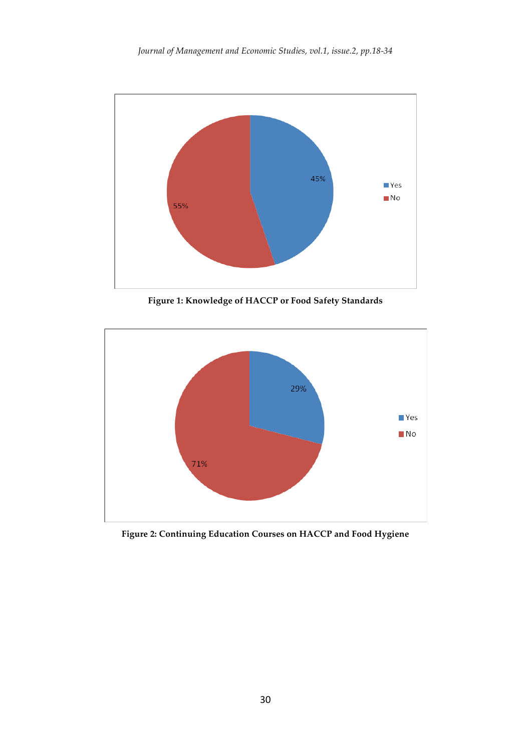

**Figure 1: Knowledge of HACCP or Food Safety Standards**



**Figure 2: Continuing Education Courses on HACCP and Food Hygiene**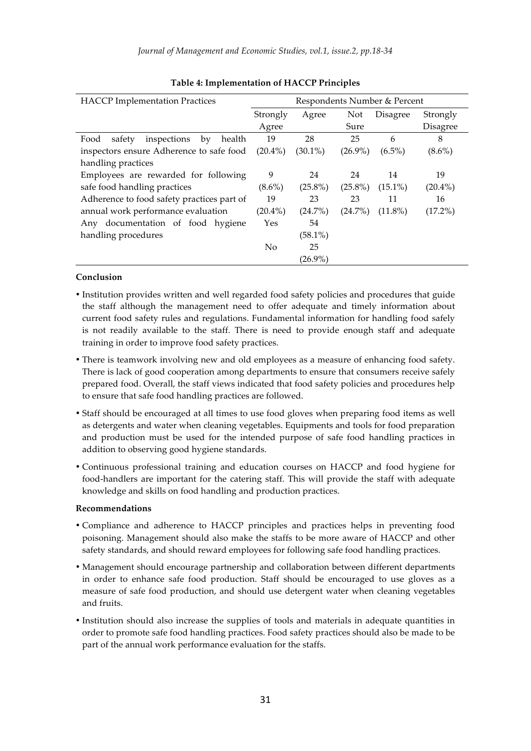| <b>HACCP</b> Implementation Practices         | Respondents Number & Percent |            |            |                 |                 |
|-----------------------------------------------|------------------------------|------------|------------|-----------------|-----------------|
|                                               | Strongly                     | Agree      | Not        | <b>Disagree</b> | Strongly        |
|                                               | Agree                        |            | Sure       |                 | <b>Disagree</b> |
| inspections<br>safety<br>health<br>Food<br>by | 19                           | 28         | 25         | 6               | 8               |
| inspectors ensure Adherence to safe food      | $(20.4\%)$                   | $(30.1\%)$ | $(26.9\%)$ | $(6.5\%)$       | $(8.6\%)$       |
| handling practices                            |                              |            |            |                 |                 |
| Employees are rewarded for following          | 9                            | 24         | 24         | 14              | 19              |
| safe food handling practices                  | $(8.6\%)$                    | $(25.8\%)$ | $(25.8\%)$ | $(15.1\%)$      | $(20.4\%)$      |
| Adherence to food safety practices part of    | 19                           | 23         | 23         | 11              | 16              |
| annual work performance evaluation            | $(20.4\%)$                   | $(24.7\%)$ | $(24.7\%)$ | $(11.8\%)$      | $(17.2\%)$      |
| Any documentation of food hygiene             | Yes                          | 54         |            |                 |                 |
| handling procedures                           |                              | $(58.1\%)$ |            |                 |                 |
|                                               | N <sub>0</sub>               | 25         |            |                 |                 |
|                                               |                              | $(26.9\%)$ |            |                 |                 |

### **Table 4: Implementation of HACCP Principles**

#### **Conclusion**

- Institution provides written and well regarded food safety policies and procedures that guide the staff although the management need to offer adequate and timely information about current food safety rules and regulations. Fundamental information for handling food safely is not readily available to the staff. There is need to provide enough staff and adequate training in order to improve food safety practices.
- There is teamwork involving new and old employees as a measure of enhancing food safety. There is lack of good cooperation among departments to ensure that consumers receive safely prepared food. Overall, the staff views indicated that food safety policies and procedures help to ensure that safe food handling practices are followed.
- Staff should be encouraged at all times to use food gloves when preparing food items as well as detergents and water when cleaning vegetables. Equipments and tools for food preparation and production must be used for the intended purpose of safe food handling practices in addition to observing good hygiene standards.
- Continuous professional training and education courses on HACCP and food hygiene for food-handlers are important for the catering staff. This will provide the staff with adequate knowledge and skills on food handling and production practices.

#### **Recommendations**

- Compliance and adherence to HACCP principles and practices helps in preventing food poisoning. Management should also make the staffs to be more aware of HACCP and other safety standards, and should reward employees for following safe food handling practices.
- Management should encourage partnership and collaboration between different departments in order to enhance safe food production. Staff should be encouraged to use gloves as a measure of safe food production, and should use detergent water when cleaning vegetables and fruits.
- Institution should also increase the supplies of tools and materials in adequate quantities in order to promote safe food handling practices. Food safety practices should also be made to be part of the annual work performance evaluation for the staffs.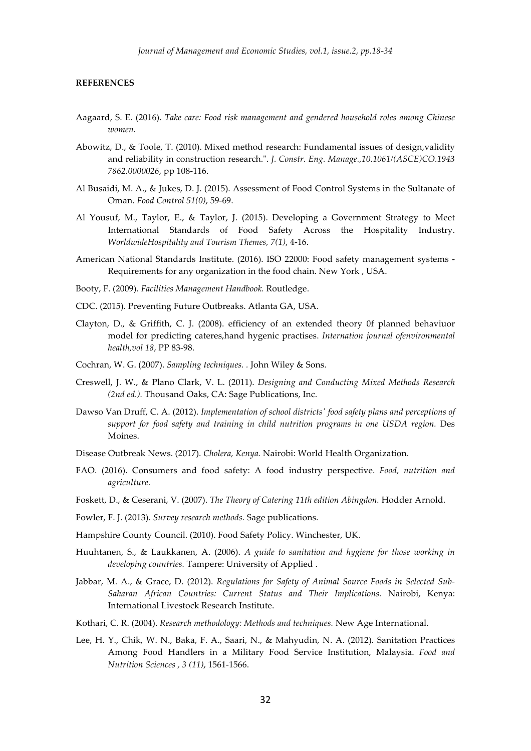#### **REFERENCES**

- Aagaard, S. E. (2016). *Take care: Food risk management and gendered household roles among Chinese women.*
- Abowitz, D., & Toole, T. (2010). Mixed method research: Fundamental issues of design,validity and reliability in construction research.". *J. Constr. Eng. Manage.,10.1061/(ASCE)CO.1943 7862.0000026*, pp 108-116.
- Al Busaidi, M. A., & Jukes, D. J. (2015). Assessment of Food Control Systems in the Sultanate of Oman. *Food Control 51(0)*, 59-69.
- Al Yousuf, M., Taylor, E., & Taylor, J. (2015). Developing a Government Strategy to Meet International Standards of Food Safety Across the Hospitality Industry. *WorldwideHospitality and Tourism Themes, 7(1)*, 4-16.
- American National Standards Institute. (2016). ISO 22000: Food safety management systems Requirements for any organization in the food chain. New York , USA.
- Booty, F. (2009). *Facilities Management Handbook.* Routledge.
- CDC. (2015). Preventing Future Outbreaks. Atlanta GA, USA.
- Clayton, D., & Griffith, C. J. (2008). efficiency of an extended theory 0f planned behaviuor model for predicting cateres,hand hygenic practises. *Internation journal ofenvironmental health,vol 18*, PP 83-98.
- Cochran, W. G. (2007). *Sampling techniques. .* John Wiley & Sons.
- Creswell, J. W., & Plano Clark, V. L. (2011). *Designing and Conducting Mixed Methods Research (2nd ed.).* Thousand Oaks, CA: Sage Publications, Inc.
- Dawso Van Druff, C. A. (2012). *Implementation of school districts' food safety plans and perceptions of support for food safety and training in child nutrition programs in one USDA region.* Des Moines.
- Disease Outbreak News. (2017). *Cholera, Kenya.* Nairobi: World Health Organization.
- FAO. (2016). Consumers and food safety: A food industry perspective. *Food, nutrition and agriculture*.
- Foskett, D., & Ceserani, V. (2007). *The Theory of Catering 11th edition Abingdon.* Hodder Arnold.
- Fowler, F. J. (2013). *Survey research methods.* Sage publications.
- Hampshire County Council. (2010). Food Safety Policy. Winchester, UK.
- Huuhtanen, S., & Laukkanen, A. (2006). *A guide to sanitation and hygiene for those working in developing countries.* Tampere: University of Applied .
- Jabbar, M. A., & Grace, D. (2012). *Regulations for Safety of Animal Source Foods in Selected Sub-Saharan African Countries: Current Status and Their Implications.* Nairobi, Kenya: International Livestock Research Institute.
- Kothari, C. R. (2004). *Research methodology: Methods and techniques.* New Age International.
- Lee, H. Y., Chik, W. N., Baka, F. A., Saari, N., & Mahyudin, N. A. (2012). Sanitation Practices Among Food Handlers in a Military Food Service Institution, Malaysia. *Food and Nutrition Sciences , 3 (11)*, 1561-1566.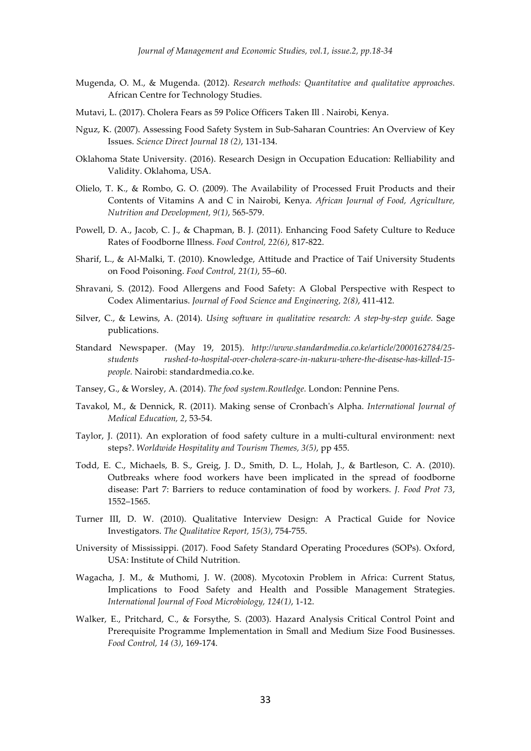- Mugenda, O. M., & Mugenda. (2012). *Research methods: Quantitative and qualitative approaches.* African Centre for Technology Studies.
- Mutavi, L. (2017). Cholera Fears as 59 Police Officers Taken Ill . Nairobi, Kenya.
- Nguz, K. (2007). Assessing Food Safety System in Sub-Saharan Countries: An Overview of Key Issues. *Science Direct Journal 18 (2)*, 131-134.
- Oklahoma State University. (2016). Research Design in Occupation Education: Relliability and Validity. Oklahoma, USA.
- Olielo, T. K., & Rombo, G. O. (2009). The Availability of Processed Fruit Products and their Contents of Vitamins A and C in Nairobi, Kenya. *African Journal of Food, Agriculture, Nutrition and Development, 9(1)*, 565-579.
- Powell, D. A., Jacob, C. J., & Chapman, B. J. (2011). Enhancing Food Safety Culture to Reduce Rates of Foodborne Illness. *Food Control, 22(6)*, 817-822.
- Sharif, L., & Al-Malki, T. (2010). Knowledge, Attitude and Practice of Taif University Students on Food Poisoning. *Food Control, 21(1)*, 55–60.
- Shravani, S. (2012). Food Allergens and Food Safety: A Global Perspective with Respect to Codex Alimentarius. *Journal of Food Science and Engineering, 2(8)*, 411-412.
- Silver, C., & Lewins, A. (2014). *Using software in qualitative research: A step-by-step guide.* Sage publications.
- Standard Newspaper. (May 19, 2015). *http://www.standardmedia.co.ke/article/2000162784/25 students rushed-to-hospital-over-cholera-scare-in-nakuru-where-the-disease-has-killed-15 people.* Nairobi: standardmedia.co.ke.
- Tansey, G., & Worsley, A. (2014). *The food system.Routledge.* London: Pennine Pens.
- Tavakol, M., & Dennick, R. (2011). Making sense of Cronbach's Alpha. *International Journal of Medical Education, 2*, 53-54.
- Taylor, J. (2011). An exploration of food safety culture in a multi-cultural environment: next steps?. *Worldwide Hospitality and Tourism Themes, 3(5)*, pp 455.
- Todd, E. C., Michaels, B. S., Greig, J. D., Smith, D. L., Holah, J., & Bartleson, C. A. (2010). Outbreaks where food workers have been implicated in the spread of foodborne disease: Part 7: Barriers to reduce contamination of food by workers. *J. Food Prot 73*, 1552–1565.
- Turner III, D. W. (2010). Qualitative Interview Design: A Practical Guide for Novice Investigators. *The Qualitative Report, 15(3)*, 754-755.
- University of Mississippi. (2017). Food Safety Standard Operating Procedures (SOPs). Oxford, USA: Institute of Child Nutrition.
- Wagacha, J. M., & Muthomi, J. W. (2008). Mycotoxin Problem in Africa: Current Status, Implications to Food Safety and Health and Possible Management Strategies. *International Journal of Food Microbiology, 124(1)*, 1-12.
- Walker, E., Pritchard, C., & Forsythe, S. (2003). Hazard Analysis Critical Control Point and Prerequisite Programme Implementation in Small and Medium Size Food Businesses. *Food Control, 14 (3)*, 169-174.